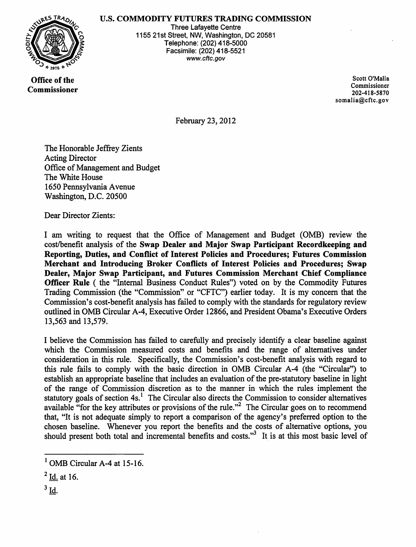## U.S. COMMODITY FUTURES TRADING COMMISSION



Three Lafayette Centre 1155 21st Street, NW, Washington, DC 20581 Telephone: (202) 418-5000 Facsimile: (202) 418-5521 www.cftc.gov

Office of the Commissioner

Scott O'Malia Commissioner 202-418-5870 somalia@cftc.gov

February 23, 2012

The Honorable Jeffrey Zients Acting Director Office of Management and Budget The White House 1650 Pennsylvania Avenue Washington, D.C. 20500

Dear Director Zients:

I am writing to request that the Office of Management and Budget (OMB) review the cost/benefit analysis of the Swap Dealer and Major Swap Participant Recordkeeping and Reporting, Duties, and Conflict of Interest Policies and Procedures; Futures Commission Merchant and Introducing Broker Conflicts of Interest Policies and Procedures; Swap Dealer, Major Swap Participant, and Futures Commission Merchant Chief Compliance Officer Rule ( the "Internal Business Conduct Rules") voted on by the Commodity Futures Trading Commission (the "Commission" or "CFTC") earlier today. It is my concern that the Commission's cost-benefit analysis has failed to comply with the standards for regulatory review outlined in OMB Circular A-4, Executive Order 12866, and President Obama's Executive Orders 13,563 and 13,579.

I believe the Commission has failed to carefully and precisely identify a clear baseline against which the Commission measured costs and benefits and the range of alternatives under consideration in this rule. Specifically, the Commission's cost-benefit analysis with regard to this rule fails to comply with the basic direction in OMB Circular A-4 (the "Circular") to establish an appropriate baseline that includes an evaluation of the pre-statutory baseline in light of the range of Commission discretion as to the manner in which the rules implement the statutory goals of section 4s.<sup>1</sup> The Circular also directs the Commission to consider alternatives available "for the key attributes or provisions of the rule."<sup>2</sup> The Circular goes on to recommend that, "It is not adequate simply to report a comparison of the agency's preferred option to the chosen baseline. Whenever you report the benefits and the costs of alternative options, you should present both total and incremental benefits and costs."<sup>3</sup> It is at this most basic level of

 $3$  Id.

 $<sup>1</sup>$  OMB Circular A-4 at 15-16.</sup>

 $<sup>2</sup>$  Id. at 16.</sup>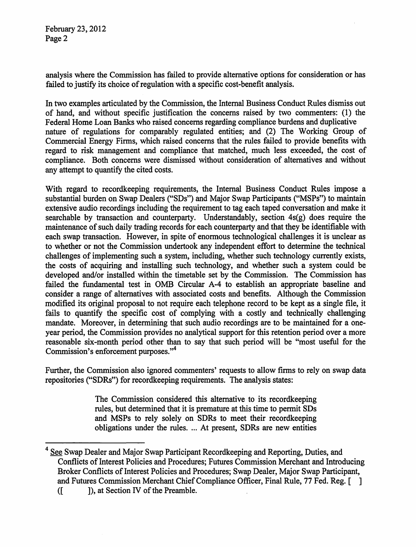February 23, 2012 Page 2

analysis where the Commission has failed to provide alternative options for consideration or has failed to justify its choice of regulation with a specific cost-benefit analysis.

In two examples articulated by the Commission, the Internal Business Conduct Rules dismiss out of hand, and without specific justification the concerns raised by two commenters: (1) the Federal Home Loan Banks who raised concerns regarding compliance burdens and duplicative nature of regulations for comparably regulated entities; and (2) The Working Group of Commercial Energy Firms, which raised concerns that the rules failed to provide benefits with regard to risk management and compliance that matched, much less exceeded, the cost of compliance. Both concerns were dismissed without consideration of alternatives and without any attempt to quantify the cited costs.

With regard to recordkeeping requirements, the Internal Business Conduct Rules impose a substantial burden on Swap Dealers ("SDs") and Major Swap Participants ("MSPs") to maintain extensive audio recordings including the requirement to tag each taped conversation and make it searchable by transaction and counterparty. Understandably, section 4s(g) does require the maintenance of such daily trading records for each counterparty and that they be identifiable with each swap transaction. However, in spite of enormous technological challenges it is unclear as to whether or not the Commission undertook any independent effort to determine the technical challenges of implementing such a system, including, whether such technology currently exists, the costs of acquiring and installing such technology, and whether such a system could be developed and/or installed within the timetable set by the Commission. The Commission has failed the fundamental test in OMB Circular A-4 to establish an appropriate baseline and consider a range of alternatives with associated costs and benefits. Although the Commission modified its original proposal to not require each telephone record to be kept as a single file, it fails to quantify the specific cost of complying with a costly and technically challenging mandate. Moreover, in determining that such audio recordings are to be maintained for a oneyear period, the Commission provides no analytical support for this retention period over a more reasonable six-month period other than to say that such period will be "most useful for the Commission's enforcement purposes."<sup>4</sup>

Further, the Commission also ignored commenters' requests to allow firms to rely on swap data repositories ("SDRs") for recordkeeping requirements. The analysis states:

> The Commission considered this alternative to its recordkeeping rules, but determined that it is premature at this time to permit SDs and MSPs to rely solely on SDRs to meet their recordkeeping obligations under the rules.... At present, SDRs are new entities

See Swap Dealer and Major Swap Participant Recordkeeping and Reporting, Duties, and Conflicts of Interest Policies and Procedures; Futures Commission Merchant and Introducing Broker Conflicts of Interest Policies and Procedures; Swap Dealer, Major Swap Participant, and Futures Commission Merchant Chief Compliance Officer, Final Rule, 77 Fed. Reg. [ ] ([  $\blacksquare$  ), at Section **IV** of the Preamble.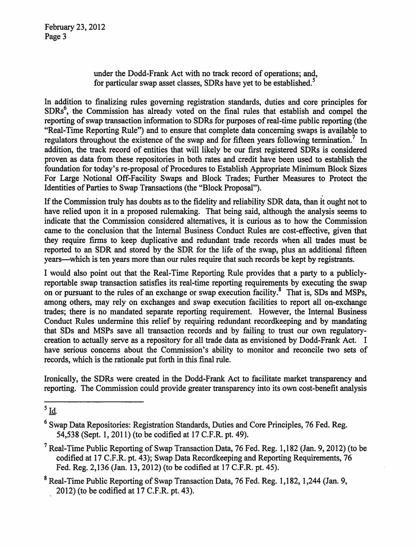February 23,2012 Page 3

> under the Dodd-Frank Act with no track record of operations; and, for particular swap asset classes. SDRs have yet to be established.<sup>5</sup>

In addition to finalizing rules governing registration standards, duties and core principles for SDRs<sup>6</sup>, the Commission has already voted on the final rules that establish and compel the reporting of swap transaction information to SDRs for purposes of real-time public reporting (the "Real-Time Reporting Rule") and to ensure that complete data concerning swaps is available to regulators throughout the existence of the swap and for fifteen years following termination.<sup>7</sup> In addition, the track record of entities that will likely be our first registered SDRs is considered proven as data from these repositories in both rates and credit have been used to establish the foundation for today's re-proposal of Procedures to Establish Appropriate Minimum Block Sizes For Large Notional Off-Facility Swaps and Block Trades; Further Measures to Protect the Identities of Parties to Swap Transactions (the "Block Proposal").

If the Commission truly has doubts as to the fidelity and reliability SDR data, than it ought not to have relied upon it in a proposed rulemaking. That being said, although the analysis seems to indicate that the Commission considered alternatives, it is curious as to how the Commission came to the conclusion that the Internal Business Conduct Rules are cost-effective, given that they require frrms to keep duplicative and redundant trade records when all trades must be reported to an SDR and stored by the SDR for the life of the swap, plus an additional fifteen years—which is ten years more than our rules require that such records be kept by registrants.

I would also point out that the Real-Time Reporting Rule provides that a party to a publiclyreportable swap transaction satisfies its real-time reporting requirements by executing the swap on or pursuant to the rules of an exchange or swap execution facility.<sup>8</sup> That is, SDs and MSPs, among others, may rely on exchanges and swap execution facilities to report all on-exchange trades; there is no mandated separate reporting requirement. However, the Internal Business Conduct Rilles undermine this relief by requiring redundant recordkeeping and by mandating that SDs and MSPs save all transaction records and by failing to trust our own regulatorycreation to actually serve as a repository for all trade data as envisioned by Dodd-Frank Act. I have serious concerns about the Commission's ability to monitor and reconcile two sets of records, which is the rationale put forth in this final rule.

Ironically, the SDRs were created in the Dodd-Frank Act to facilitate market transparency and reporting. The Commission could provide greater transparency into its own cost-benefit analysis

 $<sup>5</sup>$  Id.</sup>

- <sup>7</sup> Real-Time Public Reporting of Swap Transaction Data, 76 Fed. Reg. 1,182 (Jan. 9, 2012) (to be codified at 17 C.F.R. pt. 43); Swap Data Recordkeeping and Reporting Requirements, 76 Fed. Reg. 2,136 (Jan. 13,2012) (to be codified at 17 C.F.R. pt. 45).
- <sup>8</sup> Real-Time Public Reporting of Swap Transaction Data, 76 Fed. Reg. 1,182, 1,244 (Jan. 9, 2012) (to be codified at 17 C.F.R. pt. 43).

<sup>6</sup> Swap Data Repositories: Registration Standards, Duties and Core Principles, 76 Fed. Reg. 54,538 (Sept. 1,2011) (to be codified at 17 C.F.R. pt. 49).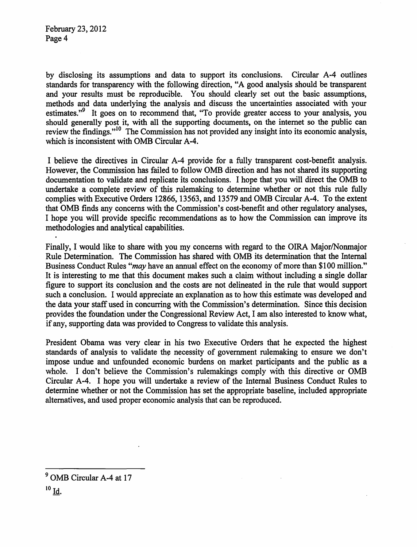by disclosing its assumptions and data to support its conclusions. Circular A-4 outlines standards for transparency with the following direction, "A good analysis should be transparent and your results must be reproducible. You should clearly set out the basic assumptions, methods and data underlying the analysis and discuss the uncertainties associated with your estimates."<sup>9</sup> It goes on to recommend that, "To provide greater access to your analysis, you should generally post it, with all the supporting documents, on the internet so the public can review the findings."<sup>10</sup> The Commission has not provided any insight into its economic analysis, which is inconsistent with OMB Circular A-4.

I believe the directives in Circular A-4 provide for a fully transparent cost-benefit analysis. However, the Commission has failed to follow OMB direction and has not shared its supporting documentation to validate and replicate its conclusions. I hope that you will direct the OMB to undertake a complete review of this rulemaking to determine whether or not this rule fully complies with Executive Orders 12866, 13563, and 13579 and OMB Circular A-4. To the extent that OMB finds any concerns with the Commission's cost-benefit and other regulatory analyses, I hope you will provide specific recommendations as to how the Commission can improve its methodologies and analytical capabilities.

Finally, I would like to share with you my concerns with regard to the OIRA Major/Nonmajor Rule Determination. The Commission has shared with OMB its determination that the Internal Business Conduct Rules *"may* have an annual effect on the economy of more than \$100 million." It is interesting to me that this document makes such a claim without including a single dollar figure to support its conclusion and the costs are not delineated in the rule that would support such a conclusion. I would appreciate an explanation as to how this estimate was developed and the data your staff used in concurring with the Commission's determination. Since this decision provides the foundation under the Congressional Review Act, I am also interested to know what, ifany, supporting data was provided to Congress to validate this analysis.

President Obama was very clear in his two Executive Orders that he expected the highest standards of analysis to validate the necessity of government rulemaking to ensure we don't impose undue and unfounded economic burdens on market participants and the public as a whole. I don't believe the Commission's rulemakings comply with this directive or OMB Circular A-4. I hope you will undertake a review of the Internal Business Conduct Rules to determine whether or not the Commission has set the appropriate baseline, included appropriate alternatives, and used proper economic analysis that can be reproduced.

<sup>&</sup>lt;sup>9</sup> OMB Circular A-4 at 17

 $^{10}$  Id.